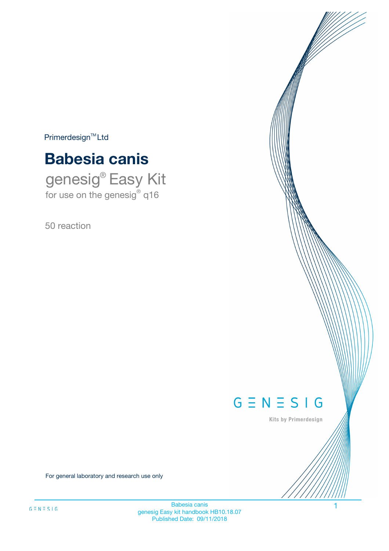$Primerdesign^{\text{TM}}Ltd$ 

# **Babesia canis**

genesig® Easy Kit for use on the genesig® q16

50 reaction



Kits by Primerdesign

For general laboratory and research use only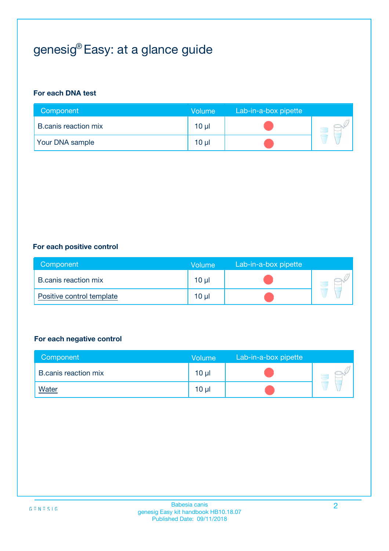## genesig® Easy: at a glance guide

#### **For each DNA test**

| Component                   | <b>Volume</b> | Lab-in-a-box pipette |  |
|-----------------------------|---------------|----------------------|--|
| <b>B.canis reaction mix</b> | 10 µl         |                      |  |
| <b>Your DNA sample</b>      | $10 \mu$      |                      |  |

#### **For each positive control**

| Component                   | Volume          | Lab-in-a-box pipette |  |
|-----------------------------|-----------------|----------------------|--|
| <b>B.canis reaction mix</b> | $10 \mu$        |                      |  |
| Positive control template   | 10 <sub>µ</sub> |                      |  |

#### **For each negative control**

| Component            | <b>Volume</b>   | Lab-in-a-box pipette |  |
|----------------------|-----------------|----------------------|--|
| B.canis reaction mix | 10 <sub>µ</sub> |                      |  |
| <u>Water</u>         | 10 <sub>µ</sub> |                      |  |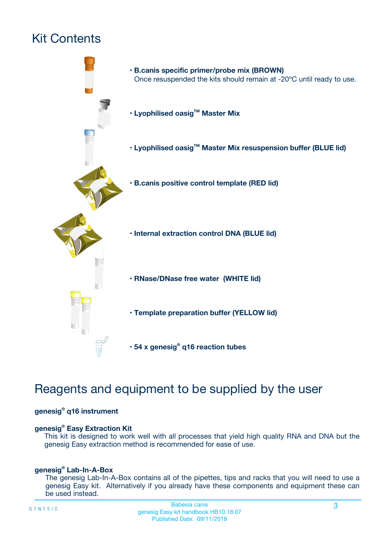## Kit Contents



## Reagents and equipment to be supplied by the user

#### **genesig® q16 instrument**

#### **genesig® Easy Extraction Kit**

This kit is designed to work well with all processes that yield high quality RNA and DNA but the genesig Easy extraction method is recommended for ease of use.

#### **genesig® Lab-In-A-Box**

The genesig Lab-In-A-Box contains all of the pipettes, tips and racks that you will need to use a genesig Easy kit. Alternatively if you already have these components and equipment these can be used instead.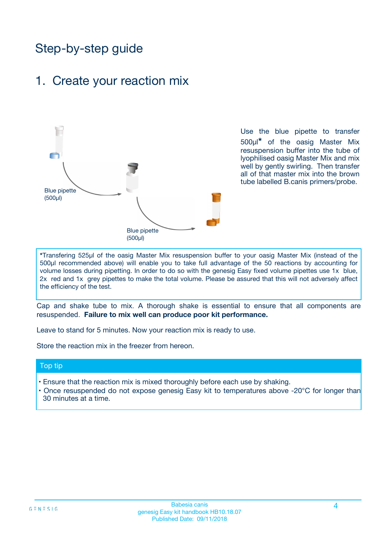## Step-by-step guide

### 1. Create your reaction mix



Use the blue pipette to transfer 500µl**\*** of the oasig Master Mix resuspension buffer into the tube of lyophilised oasig Master Mix and mix well by gently swirling. Then transfer all of that master mix into the brown tube labelled B.canis primers/probe.

**\***Transfering 525µl of the oasig Master Mix resuspension buffer to your oasig Master Mix (instead of the 500µl recommended above) will enable you to take full advantage of the 50 reactions by accounting for volume losses during pipetting. In order to do so with the genesig Easy fixed volume pipettes use 1x blue, 2x red and 1x grey pipettes to make the total volume. Please be assured that this will not adversely affect the efficiency of the test.

Cap and shake tube to mix. A thorough shake is essential to ensure that all components are resuspended. **Failure to mix well can produce poor kit performance.**

Leave to stand for 5 minutes. Now your reaction mix is ready to use.

Store the reaction mix in the freezer from hereon.

#### Top tip

- Ensure that the reaction mix is mixed thoroughly before each use by shaking.
- **•** Once resuspended do not expose genesig Easy kit to temperatures above -20°C for longer than 30 minutes at a time.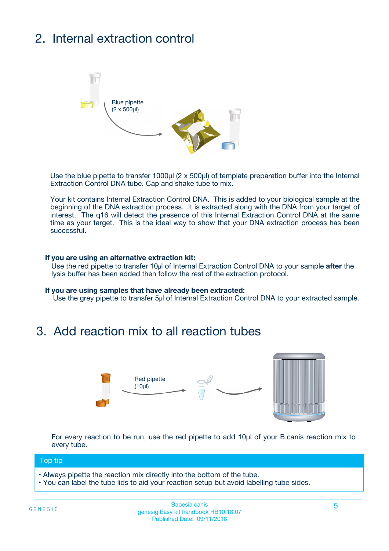## 2. Internal extraction control



Use the blue pipette to transfer 1000µl (2 x 500µl) of template preparation buffer into the Internal Extraction Control DNA tube. Cap and shake tube to mix.

Your kit contains Internal Extraction Control DNA. This is added to your biological sample at the beginning of the DNA extraction process. It is extracted along with the DNA from your target of interest. The q16 will detect the presence of this Internal Extraction Control DNA at the same time as your target. This is the ideal way to show that your DNA extraction process has been successful.

#### **If you are using an alternative extraction kit:**

Use the red pipette to transfer 10µl of Internal Extraction Control DNA to your sample **after** the lysis buffer has been added then follow the rest of the extraction protocol.

#### **If you are using samples that have already been extracted:**

Use the grey pipette to transfer 5µl of Internal Extraction Control DNA to your extracted sample.

### 3. Add reaction mix to all reaction tubes



For every reaction to be run, use the red pipette to add 10µl of your B.canis reaction mix to every tube.

#### Top tip

- Always pipette the reaction mix directly into the bottom of the tube.
- You can label the tube lids to aid your reaction setup but avoid labelling tube sides.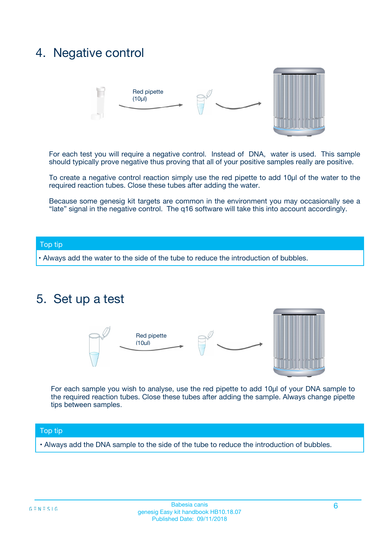### 4. Negative control



For each test you will require a negative control. Instead of DNA, water is used. This sample should typically prove negative thus proving that all of your positive samples really are positive.

To create a negative control reaction simply use the red pipette to add 10µl of the water to the required reaction tubes. Close these tubes after adding the water.

Because some genesig kit targets are common in the environment you may occasionally see a "late" signal in the negative control. The q16 software will take this into account accordingly.

#### Top tip

**•** Always add the water to the side of the tube to reduce the introduction of bubbles.

### 5. Set up a test



For each sample you wish to analyse, use the red pipette to add 10µl of your DNA sample to the required reaction tubes. Close these tubes after adding the sample. Always change pipette tips between samples.

#### Top tip

**•** Always add the DNA sample to the side of the tube to reduce the introduction of bubbles.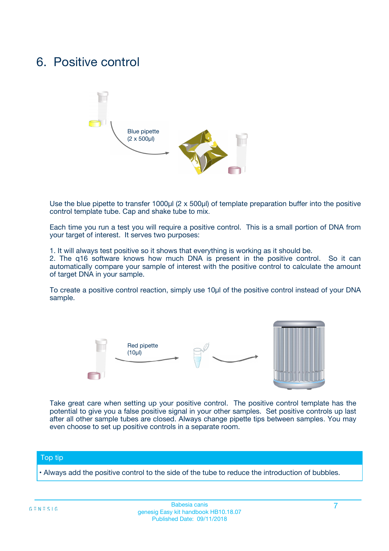### 6. Positive control



Use the blue pipette to transfer 1000µl (2 x 500µl) of template preparation buffer into the positive control template tube. Cap and shake tube to mix.

Each time you run a test you will require a positive control. This is a small portion of DNA from your target of interest. It serves two purposes:

1. It will always test positive so it shows that everything is working as it should be.

2. The q16 software knows how much DNA is present in the positive control. So it can automatically compare your sample of interest with the positive control to calculate the amount of target DNA in your sample.

To create a positive control reaction, simply use 10µl of the positive control instead of your DNA sample.



Take great care when setting up your positive control. The positive control template has the potential to give you a false positive signal in your other samples. Set positive controls up last after all other sample tubes are closed. Always change pipette tips between samples. You may even choose to set up positive controls in a separate room.

#### Top tip

**•** Always add the positive control to the side of the tube to reduce the introduction of bubbles.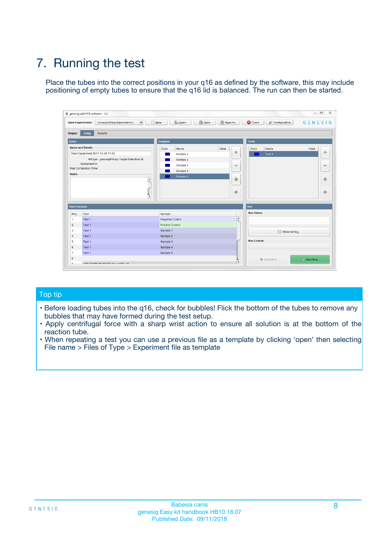## 7. Running the test

Place the tubes into the correct positions in your q16 as defined by the software, this may include positioning of empty tubes to ensure that the q16 lid is balanced. The run can then be started.

| qenesig q16 PCR software - 1.2                                               |                                   | $\Box$                                                                                          |
|------------------------------------------------------------------------------|-----------------------------------|-------------------------------------------------------------------------------------------------|
| $\vert \cdot \vert$<br>Unsaved (New Experiment 2<br><b>Open Experiments:</b> | <b>D</b> Open<br>R <sub>New</sub> | Save<br>Save As<br><b>C</b> Close<br><b>&amp; Configuration</b><br>$G \equiv N \equiv S \mid G$ |
| <b>Setup</b><br><b>Results</b><br>Stages:                                    |                                   |                                                                                                 |
| <b>Notes</b>                                                                 | <b>Samples</b>                    | <b>Tests</b>                                                                                    |
| <b>Name and Details</b>                                                      | Name<br>Color                     | Note<br>Color<br>Note<br>Name                                                                   |
| New Experiment 2017-10-26 11:06                                              | Sample 1                          | ÷<br>条<br>Test 1                                                                                |
| Kit type: genesig® Easy Target Detection kit                                 | Sample 2                          |                                                                                                 |
| Instrument Id.:                                                              | Sample 3                          | $\qquad \qquad \blacksquare$<br>$\qquad \qquad \blacksquare$                                    |
| <b>Run Completion Time:</b>                                                  | Sample 4                          |                                                                                                 |
| <b>Notes</b><br><b>A</b><br>$\overline{\mathbf v}$                           | Sample 5                          | ♦<br>4<br>÷<br>₩                                                                                |
| <b>Well Contents</b>                                                         |                                   | <b>Run</b>                                                                                      |
| Pos.<br>Test                                                                 | Sample                            | <b>Run Status</b>                                                                               |
| Test 1<br>$\blacktriangleleft$                                               | Negative Control                  | $\blacktriangle$                                                                                |
| $\overline{2}$<br>Test 1                                                     | <b>Positive Control</b>           |                                                                                                 |
| $\overline{\mathbf{3}}$<br>Test 1                                            | Sample 1                          | Show full log                                                                                   |
| Test 1<br>4                                                                  | Sample 2                          |                                                                                                 |
| 5<br>Test 1                                                                  | Sample 3                          | <b>Run Control</b>                                                                              |
| Test 1<br>6                                                                  | Sample 4                          |                                                                                                 |
| $\overline{7}$<br>Test 1                                                     | Sample 5                          |                                                                                                 |
| 8                                                                            |                                   | $\triangleright$ Start Run<br>Abort Run                                                         |
| <b>JOD FURTY TUDE TO BUILDED IN</b>                                          |                                   | $\overline{\mathbf{v}}$                                                                         |

#### Top tip

- Before loading tubes into the q16, check for bubbles! Flick the bottom of the tubes to remove any bubbles that may have formed during the test setup.
- Apply centrifugal force with a sharp wrist action to ensure all solution is at the bottom of the reaction tube.
- When repeating a test you can use a previous file as a template by clicking 'open' then selecting File name > Files of Type > Experiment file as template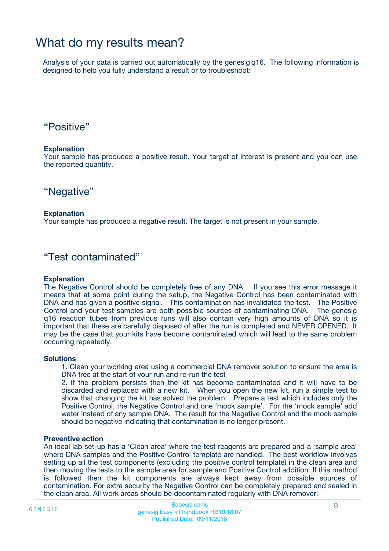### What do my results mean?

Analysis of your data is carried out automatically by the genesig q16. The following information is designed to help you fully understand a result or to troubleshoot:

### "Positive"

#### **Explanation**

Your sample has produced a positive result. Your target of interest is present and you can use the reported quantity.

"Negative"

#### **Explanation**

Your sample has produced a negative result. The target is not present in your sample.

### "Test contaminated"

#### **Explanation**

The Negative Control should be completely free of any DNA. If you see this error message it means that at some point during the setup, the Negative Control has been contaminated with DNA and has given a positive signal. This contamination has invalidated the test. The Positive Control and your test samples are both possible sources of contaminating DNA. The genesig q16 reaction tubes from previous runs will also contain very high amounts of DNA so it is important that these are carefully disposed of after the run is completed and NEVER OPENED. It may be the case that your kits have become contaminated which will lead to the same problem occurring repeatedly.

#### **Solutions**

1. Clean your working area using a commercial DNA remover solution to ensure the area is DNA free at the start of your run and re-run the test

2. If the problem persists then the kit has become contaminated and it will have to be discarded and replaced with a new kit. When you open the new kit, run a simple test to show that changing the kit has solved the problem. Prepare a test which includes only the Positive Control, the Negative Control and one 'mock sample'. For the 'mock sample' add water instead of any sample DNA. The result for the Negative Control and the mock sample should be negative indicating that contamination is no longer present.

#### **Preventive action**

An ideal lab set-up has a 'Clean area' where the test reagents are prepared and a 'sample area' where DNA samples and the Positive Control template are handled. The best workflow involves setting up all the test components (excluding the positive control template) in the clean area and then moving the tests to the sample area for sample and Positive Control addition. If this method is followed then the kit components are always kept away from possible sources of contamination. For extra security the Negative Control can be completely prepared and sealed in the clean area. All work areas should be decontaminated regularly with DNA remover.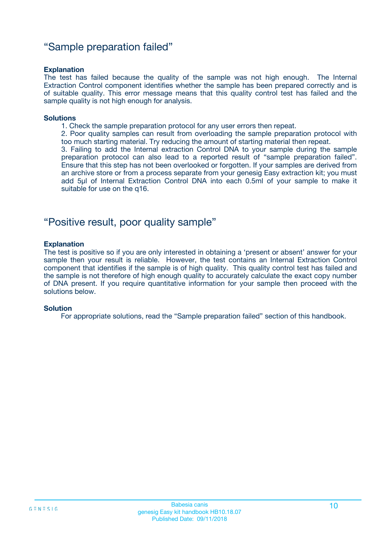### "Sample preparation failed"

#### **Explanation**

The test has failed because the quality of the sample was not high enough. The Internal Extraction Control component identifies whether the sample has been prepared correctly and is of suitable quality. This error message means that this quality control test has failed and the sample quality is not high enough for analysis.

#### **Solutions**

1. Check the sample preparation protocol for any user errors then repeat.

2. Poor quality samples can result from overloading the sample preparation protocol with too much starting material. Try reducing the amount of starting material then repeat.

3. Failing to add the Internal extraction Control DNA to your sample during the sample preparation protocol can also lead to a reported result of "sample preparation failed". Ensure that this step has not been overlooked or forgotten. If your samples are derived from an archive store or from a process separate from your genesig Easy extraction kit; you must add 5µl of Internal Extraction Control DNA into each 0.5ml of your sample to make it suitable for use on the q16.

### "Positive result, poor quality sample"

#### **Explanation**

The test is positive so if you are only interested in obtaining a 'present or absent' answer for your sample then your result is reliable. However, the test contains an Internal Extraction Control component that identifies if the sample is of high quality. This quality control test has failed and the sample is not therefore of high enough quality to accurately calculate the exact copy number of DNA present. If you require quantitative information for your sample then proceed with the solutions below.

#### **Solution**

For appropriate solutions, read the "Sample preparation failed" section of this handbook.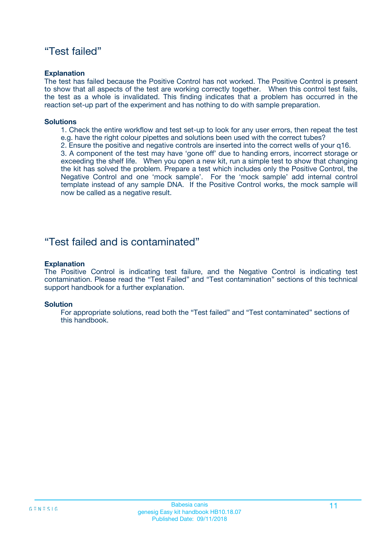### "Test failed"

#### **Explanation**

The test has failed because the Positive Control has not worked. The Positive Control is present to show that all aspects of the test are working correctly together. When this control test fails, the test as a whole is invalidated. This finding indicates that a problem has occurred in the reaction set-up part of the experiment and has nothing to do with sample preparation.

#### **Solutions**

- 1. Check the entire workflow and test set-up to look for any user errors, then repeat the test e.g. have the right colour pipettes and solutions been used with the correct tubes?
- 2. Ensure the positive and negative controls are inserted into the correct wells of your q16.

3. A component of the test may have 'gone off' due to handing errors, incorrect storage or exceeding the shelf life. When you open a new kit, run a simple test to show that changing the kit has solved the problem. Prepare a test which includes only the Positive Control, the Negative Control and one 'mock sample'. For the 'mock sample' add internal control template instead of any sample DNA. If the Positive Control works, the mock sample will now be called as a negative result.

### "Test failed and is contaminated"

#### **Explanation**

The Positive Control is indicating test failure, and the Negative Control is indicating test contamination. Please read the "Test Failed" and "Test contamination" sections of this technical support handbook for a further explanation.

#### **Solution**

For appropriate solutions, read both the "Test failed" and "Test contaminated" sections of this handbook.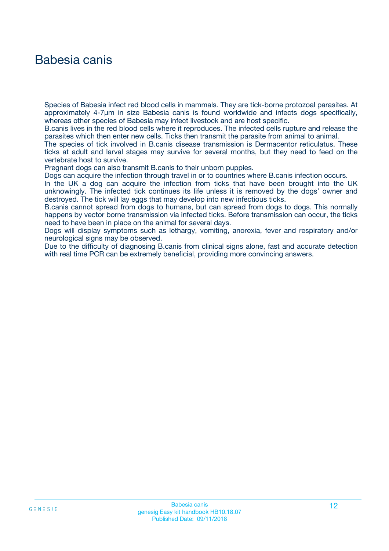### Babesia canis

Species of Babesia infect red blood cells in mammals. They are tick-borne protozoal parasites. At approximately 4-7µm in size Babesia canis is found worldwide and infects dogs specifically, whereas other species of Babesia may infect livestock and are host specific.

B.canis lives in the red blood cells where it reproduces. The infected cells rupture and release the parasites which then enter new cells. Ticks then transmit the parasite from animal to animal.

The species of tick involved in B.canis disease transmission is Dermacentor reticulatus. These ticks at adult and larval stages may survive for several months, but they need to feed on the vertebrate host to survive.

Pregnant dogs can also transmit B.canis to their unborn puppies.

Dogs can acquire the infection through travel in or to countries where B.canis infection occurs.

In the UK a dog can acquire the infection from ticks that have been brought into the UK unknowingly. The infected tick continues its life unless it is removed by the dogs' owner and destroyed. The tick will lay eggs that may develop into new infectious ticks.

B.canis cannot spread from dogs to humans, but can spread from dogs to dogs. This normally happens by vector borne transmission via infected ticks. Before transmission can occur, the ticks need to have been in place on the animal for several days.

Dogs will display symptoms such as lethargy, vomiting, anorexia, fever and respiratory and/or neurological signs may be observed.

Due to the difficulty of diagnosing B.canis from clinical signs alone, fast and accurate detection with real time PCR can be extremely beneficial, providing more convincing answers.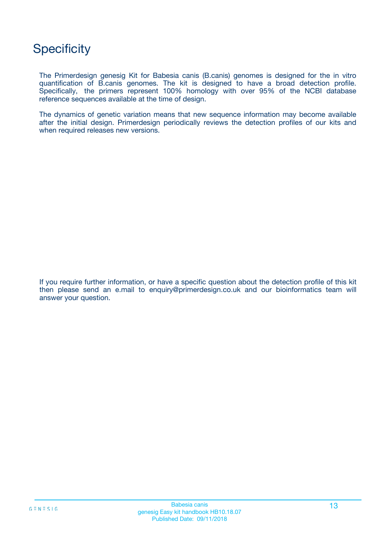### **Specificity**

The Primerdesign genesig Kit for Babesia canis (B.canis) genomes is designed for the in vitro quantification of B.canis genomes. The kit is designed to have a broad detection profile. Specifically, the primers represent 100% homology with over 95% of the NCBI database reference sequences available at the time of design.

The dynamics of genetic variation means that new sequence information may become available after the initial design. Primerdesign periodically reviews the detection profiles of our kits and when required releases new versions.

If you require further information, or have a specific question about the detection profile of this kit then please send an e.mail to enquiry@primerdesign.co.uk and our bioinformatics team will answer your question.